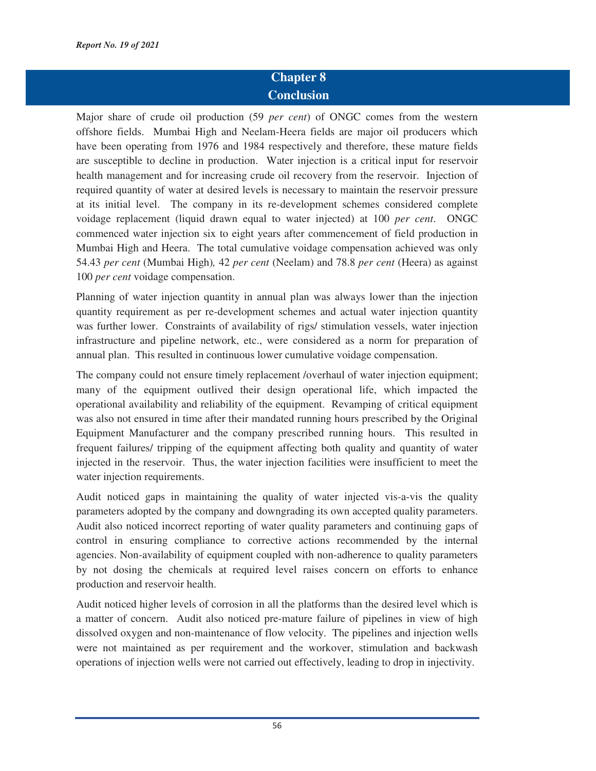## **Chapter 8 Conclusion**

Major share of crude oil production (59 *per cent*) of ONGC comes from the western offshore fields. Mumbai High and Neelam-Heera fields are major oil producers which have been operating from 1976 and 1984 respectively and therefore, these mature fields are susceptible to decline in production. Water injection is a critical input for reservoir health management and for increasing crude oil recovery from the reservoir. Injection of required quantity of water at desired levels is necessary to maintain the reservoir pressure at its initial level. The company in its re-development schemes considered complete voidage replacement (liquid drawn equal to water injected) at 100 *per cent*. ONGC commenced water injection six to eight years after commencement of field production in Mumbai High and Heera. The total cumulative voidage compensation achieved was only 54.43 *per cent* (Mumbai High)*,* 42 *per cent* (Neelam) and 78.8 *per cent* (Heera) as against 100 *per cent* voidage compensation.

Planning of water injection quantity in annual plan was always lower than the injection quantity requirement as per re-development schemes and actual water injection quantity was further lower. Constraints of availability of rigs/ stimulation vessels, water injection infrastructure and pipeline network, etc., were considered as a norm for preparation of annual plan. This resulted in continuous lower cumulative voidage compensation.

The company could not ensure timely replacement /overhaul of water injection equipment; many of the equipment outlived their design operational life, which impacted the operational availability and reliability of the equipment. Revamping of critical equipment was also not ensured in time after their mandated running hours prescribed by the Original Equipment Manufacturer and the company prescribed running hours. This resulted in frequent failures/ tripping of the equipment affecting both quality and quantity of water injected in the reservoir. Thus, the water injection facilities were insufficient to meet the water injection requirements.

Audit noticed gaps in maintaining the quality of water injected vis-a-vis the quality parameters adopted by the company and downgrading its own accepted quality parameters. Audit also noticed incorrect reporting of water quality parameters and continuing gaps of control in ensuring compliance to corrective actions recommended by the internal agencies. Non-availability of equipment coupled with non-adherence to quality parameters by not dosing the chemicals at required level raises concern on efforts to enhance production and reservoir health.

Audit noticed higher levels of corrosion in all the platforms than the desired level which is a matter of concern. Audit also noticed pre-mature failure of pipelines in view of high dissolved oxygen and non-maintenance of flow velocity. The pipelines and injection wells were not maintained as per requirement and the workover, stimulation and backwash operations of injection wells were not carried out effectively, leading to drop in injectivity.